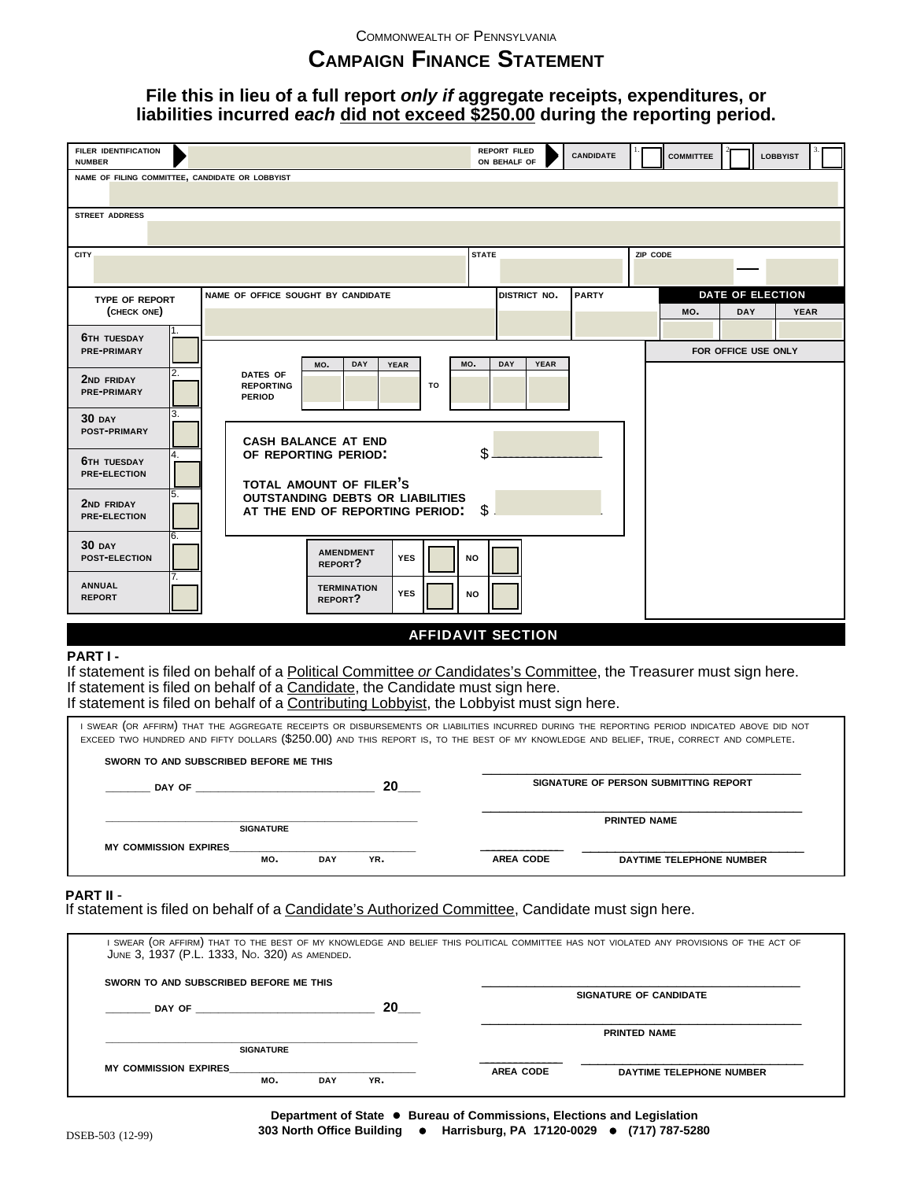# **CAMPAIGN FINANCE STATEMENT**

## **File this in lieu of a full report only if aggregate receipts, expenditures, or liabilities incurred each did not exceed \$250.00 during the reporting period.**

| <b>FILER IDENTIFICATION</b>                                      | <b>REPORT FILED</b><br><b>CANDIDATE</b><br><b>COMMITTEE</b><br><b>LOBBYIST</b>                                    |  |  |  |  |  |  |  |  |
|------------------------------------------------------------------|-------------------------------------------------------------------------------------------------------------------|--|--|--|--|--|--|--|--|
| <b>NUMBER</b><br>NAME OF FILING COMMITTEE, CANDIDATE OR LOBBYIST | ON BEHALF OF                                                                                                      |  |  |  |  |  |  |  |  |
|                                                                  |                                                                                                                   |  |  |  |  |  |  |  |  |
| <b>STREET ADDRESS</b>                                            |                                                                                                                   |  |  |  |  |  |  |  |  |
|                                                                  |                                                                                                                   |  |  |  |  |  |  |  |  |
| CITY                                                             | <b>STATE</b><br>ZIP CODE                                                                                          |  |  |  |  |  |  |  |  |
|                                                                  |                                                                                                                   |  |  |  |  |  |  |  |  |
| <b>TYPE OF REPORT</b>                                            | <b>DATE OF ELECTION</b><br>NAME OF OFFICE SOUGHT BY CANDIDATE<br>DISTRICT NO.<br><b>PARTY</b>                     |  |  |  |  |  |  |  |  |
| (CHECK ONE)                                                      | <b>DAY</b><br>MO.<br><b>YEAR</b>                                                                                  |  |  |  |  |  |  |  |  |
| <b>6TH TUESDAY</b>                                               |                                                                                                                   |  |  |  |  |  |  |  |  |
| PRE-PRIMARY                                                      | FOR OFFICE USE ONLY                                                                                               |  |  |  |  |  |  |  |  |
| 2.                                                               | MO.<br>DAY<br><b>YEAR</b><br>DAY<br><b>YEAR</b><br>MO.<br>DATES OF                                                |  |  |  |  |  |  |  |  |
| <b>2ND FRIDAY</b><br><b>PRE-PRIMARY</b>                          | <b>REPORTING</b><br>TO<br><b>PERIOD</b>                                                                           |  |  |  |  |  |  |  |  |
| 3.                                                               |                                                                                                                   |  |  |  |  |  |  |  |  |
| $30$ DAY<br><b>POST-PRIMARY</b>                                  |                                                                                                                   |  |  |  |  |  |  |  |  |
|                                                                  | <b>CASH BALANCE AT END</b>                                                                                        |  |  |  |  |  |  |  |  |
| 4.<br><b>6TH TUESDAY</b>                                         | \$<br>OF REPORTING PERIOD:<br>TOTAL AMOUNT OF FILER'S                                                             |  |  |  |  |  |  |  |  |
| <b>PRE-ELECTION</b>                                              |                                                                                                                   |  |  |  |  |  |  |  |  |
| 5.<br><b>2ND FRIDAY</b><br><b>PRE-ELECTION</b>                   | <b>OUTSTANDING DEBTS OR LIABILITIES</b>                                                                           |  |  |  |  |  |  |  |  |
|                                                                  | \$<br>AT THE END OF REPORTING PERIOD:                                                                             |  |  |  |  |  |  |  |  |
| 6.<br>$30$ DAY                                                   |                                                                                                                   |  |  |  |  |  |  |  |  |
| <b>POST-ELECTION</b>                                             | <b>AMENDMENT</b><br><b>YES</b><br>NO<br>REPORT?                                                                   |  |  |  |  |  |  |  |  |
| 7.<br><b>ANNUAL</b>                                              |                                                                                                                   |  |  |  |  |  |  |  |  |
| <b>REPORT</b>                                                    | <b>TERMINATION</b><br><b>YES</b><br><b>NO</b><br>REPORT?                                                          |  |  |  |  |  |  |  |  |
|                                                                  |                                                                                                                   |  |  |  |  |  |  |  |  |
|                                                                  | <b>AFFIDAVIT SECTION</b>                                                                                          |  |  |  |  |  |  |  |  |
| PART I-                                                          |                                                                                                                   |  |  |  |  |  |  |  |  |
|                                                                  | If statement is filed on behalf of a Political Committee or Candidates's Committee, the Treasurer must sign here. |  |  |  |  |  |  |  |  |
|                                                                  | If statement is filed on behalf of a Candidate, the Candidate must sign here.                                     |  |  |  |  |  |  |  |  |
|                                                                  | If statement is filed on behalf of a Contributing Lobbyist, the Lobbyist must sign here.                          |  |  |  |  |  |  |  |  |

I SWEAR (OR AFFIRM) THAT THE AGGREGATE RECEIPTS OR DISBURSEMENTS OR LIABILITIES INCURRED DURING THE REPORTING PERIOD INDICATED ABOVE DID NOT EXCEED TWO HUNDRED AND FIFTY DOLLARS (\$250.00) AND THIS REPORT IS, TO THE BEST OF MY KNOWLEDGE AND BELIEF, TRUE, CORRECT AND COMPLETE.

| SWORN TO AND SUBSCRIBED BEFORE ME THIS |                  |            |     |                                              |  |
|----------------------------------------|------------------|------------|-----|----------------------------------------------|--|
| DAY OF                                 |                  | 20         |     | SIGNATURE OF PERSON SUBMITTING REPORT        |  |
|                                        | <b>SIGNATURE</b> |            |     | <b>PRINTED NAME</b>                          |  |
| <b>MY COMMISSION EXPIRES</b>           | MO.              | <b>DAY</b> | YR. | <b>AREA CODE</b><br>DAYTIME TELEPHONE NUMBER |  |

**PART II - PART II** - **If statement is filed on behalf of a Candidate's Authorized Committee, Candidate must sign here.** 

| JUNE 3, 1937 (P.L. 1333, No. 320) AS AMENDED. |                   |                  | I SWEAR (OR AFFIRM) THAT TO THE BEST OF MY KNOWLEDGE AND BELIEF THIS POLITICAL COMMITTEE HAS NOT VIOLATED ANY PROVISIONS OF THE ACT OF |
|-----------------------------------------------|-------------------|------------------|----------------------------------------------------------------------------------------------------------------------------------------|
| SWORN TO AND SUBSCRIBED BEFORE ME THIS        |                   |                  |                                                                                                                                        |
| DAY OF                                        | 20                |                  | <b>SIGNATURE OF CANDIDATE</b>                                                                                                          |
|                                               |                   |                  | <b>PRINTED NAME</b>                                                                                                                    |
| <b>SIGNATURE</b>                              |                   |                  |                                                                                                                                        |
| <b>MY COMMISSION EXPIRES</b><br>MO.           | YR.<br><b>DAY</b> | <b>AREA CODE</b> | DAYTIME TELEPHONE NUMBER                                                                                                               |

**Department of State ● Bureau of Commissions, Elections and Legislation 303 North Office Building ● Harrisburg, PA 17120-0029 ● (717) 787-5280**